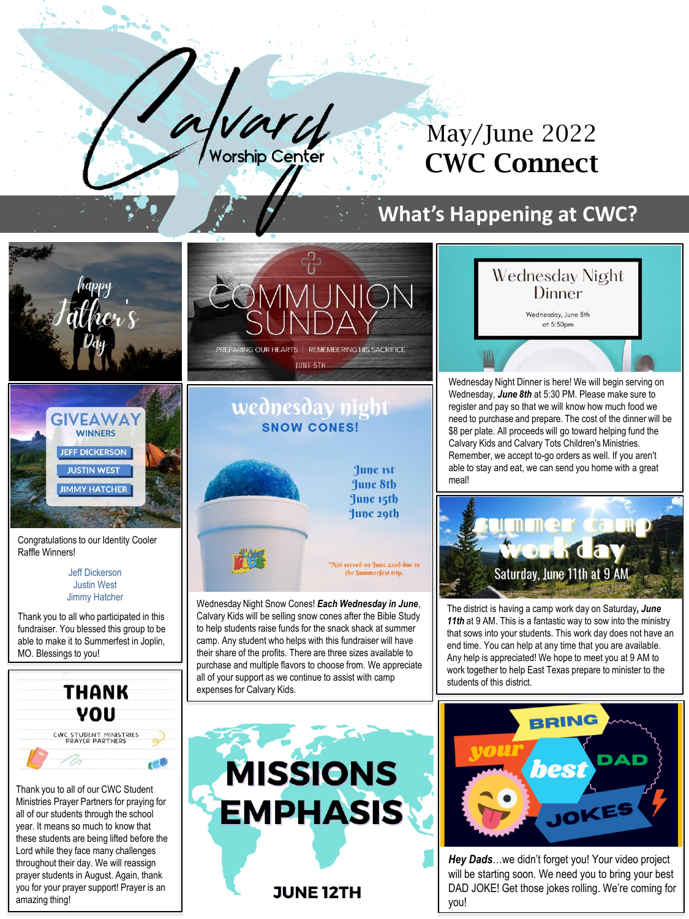

## May/June 2022 CWC Connect

## **What's Happening at CWC?**





Congratulations to our Identity Cooler Raffle Winners!

> Jeff Dickerson Justin West Jimmy Hatcher

Thank you to all who participated in this fundraiser. You blessed this group to be able to make it to Summerfest in Joplin, MO. Blessings to you!



Thank you to all of our CWC Student Ministries Prayer Partners for praying for all of our students through the school year. It means so much to know that these students are being lifted before the Lord while they face many challenges throughout their day. We will reassign prayer students in August. Again, thank you for your prayer support! Prayer is an amazing thing!





**June 1st** June 8th June 15th June 29th

**Vot served on June 22nd due to** the Summerfest trip.

Wednesday Night Snow Cones! *Each Wednesday in June*, Calvary Kids will be selling snow cones after the Bible Study to help students raise funds for the snack shack at summer camp. Any student who helps with this fundraiser will have their share of the profits. There are three sizes available to purchase and multiple flavors to choose from. We appreciate all of your support as we continue to assist with camp expenses for Calvary Kids.



Wednesday Night Dinner is here! We will begin serving on Wednesday, *June 8th* at 5:30 PM. Please make sure to register and pay so that we will know how much food we need to purchase and prepare. The cost of the dinner will be \$8 per plate. All proceeds will go toward helping fund the Calvary Kids and Calvary Tots Children's Ministries. Remember, we accept to-go orders as well. If you aren't able to stay and eat, we can send you home with a great meal!



The district is having a camp work day on Saturday*, June 11th* at 9 AM. This is a fantastic way to sow into the ministry that sows into your students. This work day does not have an end time. You can help at any time that you are available. Any help is appreciated! We hope to meet you at 9 AM to work together to help East Texas prepare to minister to the students of this district.





*Hey Dads*…we didn't forget you! Your video project will be starting soon. We need you to bring your best DAD JOKE! Get those jokes rolling. We're coming for you!